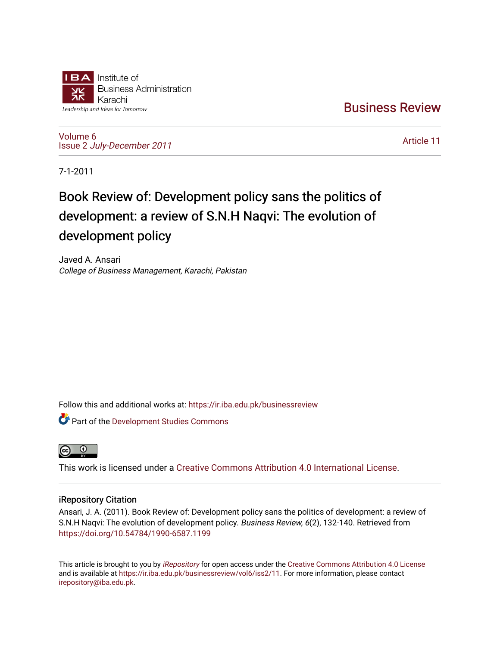

[Business Review](https://ir.iba.edu.pk/businessreview) 

[Volume 6](https://ir.iba.edu.pk/businessreview/vol6) Issue 2 [July-December 2011](https://ir.iba.edu.pk/businessreview/vol6/iss2)

[Article 11](https://ir.iba.edu.pk/businessreview/vol6/iss2/11) 

7-1-2011

# Book Review of: Development policy sans the politics of development: a review of S.N.H Naqvi: The evolution of development policy

Javed A. Ansari College of Business Management, Karachi, Pakistan

Follow this and additional works at: [https://ir.iba.edu.pk/businessreview](https://ir.iba.edu.pk/businessreview?utm_source=ir.iba.edu.pk%2Fbusinessreview%2Fvol6%2Fiss2%2F11&utm_medium=PDF&utm_campaign=PDFCoverPages) 

Part of the [Development Studies Commons](http://network.bepress.com/hgg/discipline/1422?utm_source=ir.iba.edu.pk%2Fbusinessreview%2Fvol6%2Fiss2%2F11&utm_medium=PDF&utm_campaign=PDFCoverPages) 



This work is licensed under a [Creative Commons Attribution 4.0 International License](https://creativecommons.org/licenses/by/4.0/).

### iRepository Citation

Ansari, J. A. (2011). Book Review of: Development policy sans the politics of development: a review of S.N.H Nagvi: The evolution of development policy. Business Review, 6(2), 132-140. Retrieved from <https://doi.org/10.54784/1990-6587.1199>

This article is brought to you by [iRepository](https://ir.iba.edu.pk/) for open access under the Creative Commons Attribution 4.0 License and is available at [https://ir.iba.edu.pk/businessreview/vol6/iss2/11.](https://ir.iba.edu.pk/businessreview/vol6/iss2/11) For more information, please contact [irepository@iba.edu.pk.](mailto:irepository@iba.edu.pk)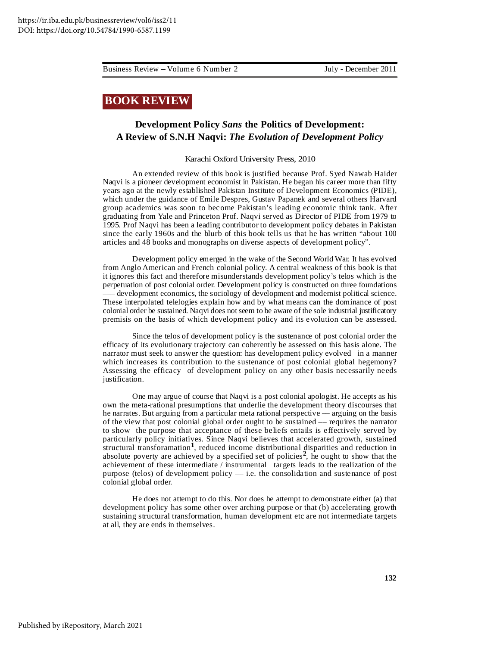## **BOOK REVIEW**

## **Development Policy** *Sans* **the Politics of Development: A Review of S.N.H Naqvi:** *The Evolution of Development Policy*

#### Karachi Oxford University Press, 2010

An extended review of this book is justified because Prof. Syed Nawab Haider Naqvi is a pioneer development economist in Pakistan. He began his career more than fifty years ago at the newly established Pakistan Institute of Development Economics (PIDE), which under the guidance of Emile Despres, Gustav Papanek and several others Harvard group academics was soon to become Pakistan's leading economic think tank. After graduating from Yale and Princeton Prof. Naqvi served as Director of PIDE from 1979 to 1995. Prof Naqvi has been a leading contributor to development policy debates in Pakistan since the early 1960s and the blurb of this book tells us that he has written "about 100 articles and 48 books and monographs on diverse aspects of development policy".

Development policy emerged in the wake of the Second World War. It has evolved from Anglo American and French colonial policy. A central weakness of this book is that it ignores this fact and therefore misunderstands development policy's telos which is the perpetuation of post colonial order. Development policy is constructed on three foundations development economics, the sociology of development and modernist political science. These interpolated telelogies explain how and by what means can the dominance of post colonial order be sustained. Naqvi does not seem to be aware of the sole industrial justificatory premisis on the basis of which development policy and its evolution can be assessed.

Since the telos of development policy is the sustenance of post colonial order the efficacy of its evolutionary trajectory can coherently be assessed on this basis alone. The narrator must seek to answer the question: has development policy evolved in a manner which increases its contribution to the sustenance of post colonial global hegemony? Assessing the efficacy of development policy on any other basis necessarily needs justification.

One may argue of course that Naqvi is a post colonial apologist. He accepts as his own the meta-rational presumptions that underlie the development theory discourses that he narrates. But arguing from a particular meta rational perspective — arguing on the basis of the view that post colonial global order ought to be sustained –– requires the narrator to show the purpose that acceptance of these beliefs entails is effectively served by particularly policy initiatives. Since Naqvi believes that accelerated growth, sustained structural transforamation**<sup>1</sup>** , reduced income distributional disparities and reduction in absolute poverty are achieved by a specified set of policies<sup>2</sup>, he ought to show that the achievement of these intermediate / instrumental targets leads to the realization of the purpose (telos) of development policy –– i.e. the consolidation and sustenance of post colonial global order.

He does not attempt to do this. Nor does he attempt to demonstrate either (a) that development policy has some other over arching purpose or that (b) accelerating growth sustaining structural transformation, human development etc are not intermediate targets at all, they are ends in themselves.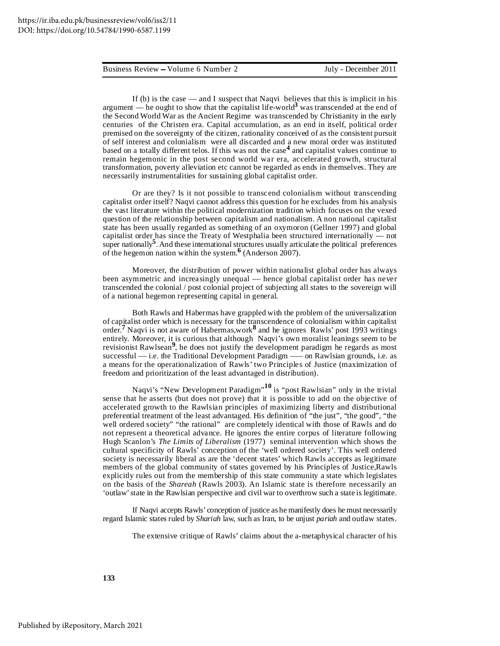If (b) is the case –– and I suspect that Naqvi believes that this is implicit in his argument — he ought to show that the capitalist life-world<sup>3</sup> was transcended at the end of the Second World War as the Ancient Regime was transcended by Christianity in the early centuries of the Christen era. Capital accumulation, as an end in itself, political order premised on the sovereignty of the citizen, rationality conceived of as the consistent pursuit of self interest and colonialism were all discarded and a new moral order was instituted based on a totally different telos. If this was not the case **4** and capitalist values continue to remain hegemonic in the post second world war era, accelerated growth, structural transformation, poverty alleviation etc cannot be regarded as ends in themselves. They are necessarily instrumentalities for sustaining global capitalist order.

Or are they? Is it not possible to transcend colonialism without transcending capitalist order itself? Naqvi cannot address this question for he excludes from his analysis the vast literature within the political modernization tradition which focuses on the vexed question of the relationship between capitalism and nationalism. A non national capitalist state has been usually regarded as something of an oxymoron (Gellner 1997) and global capitalist order has since the Treaty of Westphalia been structured internationally –– not super nationally<sup>5</sup>. And these international structures usually articulate the political preferences of the hegemon nation within the system. **6** (Anderson 2007).

Moreover, the distribution of power within nationalist global order has always been asymmetric and increasingly unequal –– hence global capitalist order has never transcended the colonial / post colonial project of subjecting all states to the sovereign will of a national hegemon representing capital in general.

Both Rawls and Habermas have grappled with the problem of the universalization of capitalist order which is necessary for the transcendence of colonialism within capitalist order. **<sup>7</sup>** Naqvi is not aware of Habermas,work **8** and he ignores Rawls' post 1993 writings entirely. Moreover, it is curious that although Naqvi's own moralist leanings seem to be revisionist Rawlsean **9** , he does not justify the development paradigm he regards as most successful –– i.e. the Traditional Development Paradigm ––– on Rawlsian grounds, i.e. as a means for the operationalization of Rawls' two Principles of Justice (maximization of freedom and prioritization of the least advantaged in distribution).

Naqvi's "New Development Paradigm" **<sup>10</sup>** is "post Rawlsian" only in the trivial sense that he asserts (but does not prove) that it is possible to add on the objective of accelerated growth to the Rawlsian principles of maximizing liberty and distributional preferential treatment of the least advantaged. His definition of "the just", "the good", "the well ordered society" "the rational" are completely identical with those of Rawls and do not represent a theoretical advance. He ignores the entire corpus of literature following Hugh Scanlon's *The Limits of Liberalism* (1977) seminal intervention which shows the cultural specificity of Rawls' conception of the 'well ordered society'. This well ordered society is necessarily liberal as are the 'decent states' which Rawls accepts as legitimate members of the global community of states governed by his Principles of Justice,Rawls explicitly rules out from the membership of this state community a state which legislates on the basis of the *Shareah* (Rawls 2003). An Islamic state is therefore necessarily an 'outlaw'state in the Rawlsian perspective and civil war to overthrow such a state is legitimate.

If Naqvi accepts Rawls' conception of justice as he manifestly does he must necessarily regard Islamic states ruled by *Shariah* law, such as Iran, to be unjust *pariah* and outlaw states.

The extensive critique of Rawls' claims about the a-metaphysical character of his

**133**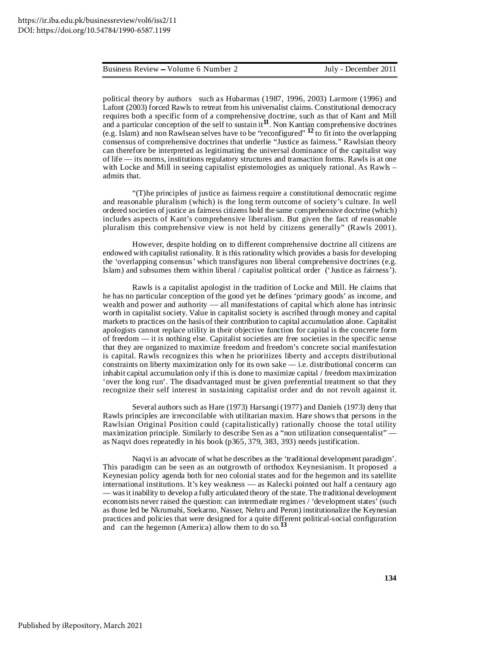political theory by authors such as Hubarmas (1987, 1996, 2003) Larmore (1996) and Lafont (2003) forced Rawls to retreat from his universalist claims. Constitutional democracy requires both a specific form of a comprehensive doctrine, such as that of Kant and Mill and a particular conception of the self to sustain it**<sup>11</sup>** . Non Kantian comprehensive doctrines (e.g. Islam) and non Rawlsean selves have to be "reconfigured" **<sup>12</sup>** to fit into the overlapping consensus of comprehensive doctrines that underlie "Justice as fairness." Rawlsian theory can therefore be interpreted as legitimating the universal dominance of the capitalist way of life –– its norms, institutions regulatory structures and transaction forms. Rawls is at one with Locke and Mill in seeing capitalist epistemologies as uniquely rational. As Rawls – admits that.

"(T)he principles of justice as fairness require a constitutional democratic regime and reasonable pluralism (which) is the long term outcome of society's culture. In well ordered societies of justice as fairness citizens hold the same comprehensive doctrine (which) includes aspects of Kant's comprehensive liberalism. But given the fact of reasonable pluralism this comprehensive view is not held by citizens generally" (Rawls 2001).

However, despite holding on to different comprehensive doctrine all citizens are endowed with capitalist rationality. It is this rationality which provides a basis for developing the 'overlapping consensus' which transfigures non liberal comprehensive doctrines (e.g. Islam) and subsumes them within liberal / capitalist political order ('Justice as fairness').

Rawls is a capitalist apologist in the tradition of Locke and Mill. He claims that he has no particular conception of the good yet he defines 'primary goods' as income, and wealth and power and authority –– all manifestations of capital which alone has intrinsic worth in capitalist society. Value in capitalist society is ascribed through money and capital markets to practices on the basis of their contribution to capital accumulation alone. Capitalist apologists cannot replace utility in their objective function for capital is the concrete form of freedom –– it is nothing else. Capitalist societies are free societies in the specific sense that they are organized to maximize freedom and freedom's concrete social manifestation is capital. Rawls recognizes this when he prioritizes liberty and accepts distributional constraints on liberty maximization only for its own sake  $-$  i.e. distributional concerns can inhabit capital accumulation only if this is done to maximize capital / freedom maximization 'over the long run'. The disadvantaged must be given preferential treatment so that they recognize their self interest in sustaining capitalist order and do not revolt against it.

Several authors such as Hare (1973) Harsangi (1977) and Daniels (1973) deny that Rawls principles are irreconcilable with utilitarian maxim. Hare shows that persons in the Rawlsian Original Position could (capitalistically) rationally choose the total utility maximization principle. Similarly to describe Sen as a "non utilization consequentalist" as Naqvi does repeatedly in his book (p365, 379, 383, 393) needs justification.

Naqvi is an advocate of what he describes as the 'traditional development paradigm'. This paradigm can be seen as an outgrowth of orthodox Keynesianism. It proposed a Keynesian policy agenda both for neo colonial states and for the hegemon and its satellite international institutions. It's key weakness –– as Kalecki pointed out half a centaury ago –– wasit inability to develop a fully articulated theory of the state.The traditional development economists never raised the question: can intermediate regimes / 'development states' (such as those led be Nkrumahi, Soekarno, Nasser, Nehru and Peron) institutionalize the Keynesian practices and policies that were designed for a quite different political-social configuration and can the hegemon (America) allow them to do so.<sup>13</sup>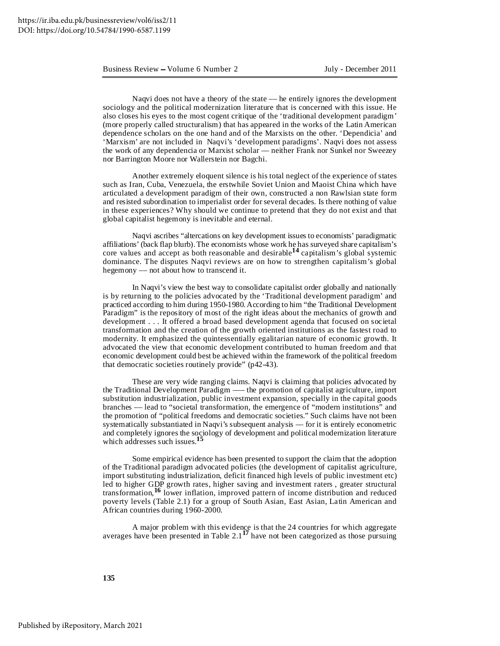Naqvi does not have a theory of the state –– he entirely ignores the development sociology and the political modernization literature that is concerned with this issue. He also closes his eyes to the most cogent critique of the 'traditional development paradigm' (more properly called structuralism) that has appeared in the works of the Latin American dependence scholars on the one hand and of the Marxists on the other. 'Dependicia' and 'Marxism' are not included in Naqvi's 'development paradigms'. Naqvi does not assess the work of any dependencia or Marxist scholar –– neither Frank nor Sunkel nor Sweezey nor Barrington Moore nor Wallerstein nor Bagchi.

Another extremely eloquent silence is his total neglect of the experience of states such as Iran, Cuba, Venezuela, the erstwhile Soviet Union and Maoist China which have articulated a development paradigm of their own, constructed a non Rawlsian state form and resisted subordination to imperialist order for several decades. Is there nothing of value in these experiences? Why should we continue to pretend that they do not exist and that global capitalist hegemony is inevitable and eternal.

Naqvi ascribes "altercations on key development issues to economists' paradigmatic affiliations' (back flap blurb).The economists whose work he has surveyed share capitalism's core values and accept as both reasonable and desirable **<sup>14</sup>** capitalism's global systemic dominance. The disputes Naqvi reviews are on how to strengthen capitalism's global hegemony –– not about how to transcend it.

In Naqvi's view the best way to consolidate capitalist order globally and nationally is by returning to the policies advocated by the 'Traditional development paradigm' and practiced according to him during 1950-1980.According to him "the Traditional Development Paradigm" is the repository of most of the right ideas about the mechanics of growth and development . . . It offered a broad based development agenda that focused on societal transformation and the creation of the growth oriented institutions as the fastest road to modernity. It emphasized the quintessentially egalitarian nature of economic growth. It advocated the view that economic development contributed to human freedom and that economic development could best be achieved within the framework of the political freedom that democratic societies routinely provide" (p42-43).

These are very wide ranging claims. Naqvi is claiming that policies advocated by the Traditional Development Paradigm ––– the promotion of capitalist agriculture, import substitution industrialization, public investment expansion, specially in the capital goods branches –– lead to "societal transformation, the emergence of "modern institutions" and the promotion of "political freedoms and democratic societies." Such claims have not been systematically substantiated in Naqvi's subsequent analysis –– for it is entirely econometric and completely ignores the sociology of development and political modernization literature which addresses such issues. **15**

Some empirical evidence has been presented to support the claim that the adoption of the Traditional paradigm advocated policies (the development of capitalist agriculture, import substituting industrialization, deficit financed high levels of public investment etc) led to higher GDP growth rates, higher saving and investment raters , greater structural transformation, <sup>16</sup> lower inflation, improved pattern of income distribution and reduced poverty levels (Table 2.1) for a group of South Asian, East Asian, Latin American and African countries during 1960-2000.

A major problem with this evidence is that the 24 countries for which aggregate averages have been presented in Table 2.1 **<sup>17</sup>** have not been categorized as those pursuing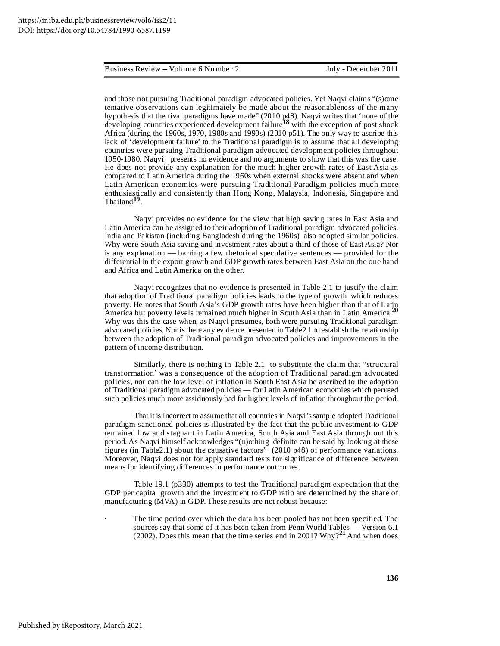#### Business Review – Volume 6 Number 2

and those not pursuing Traditional paradigm advocated policies. Yet Naqvi claims "(s)ome tentative observations can legitimately be made about the reasonableness of the many hypothesis that the rival paradigms have made" (2010 p48). Naqvi writes that 'none of the developing countries experienced development failure **<sup>18</sup>** with the exception of post shock Africa (during the 1960s, 1970, 1980s and 1990s) (2010 p51). The only way to ascribe this lack of 'development failure' to the Traditional paradigm is to assume that all developing countries were pursuing Traditional paradigm advocated development policies throughout 1950-1980. Naqvi presents no evidence and no arguments to show that this was the case. He does not provide any explanation for the much higher growth rates of East Asia as compared to Latin America during the 1960s when external shocks were absent and when Latin American economies were pursuing Traditional Paradigm policies much more enthusiastically and consistently than Hong Kong, Malaysia, Indonesia, Singapore and Thailand**<sup>19</sup>** .

Naqvi provides no evidence for the view that high saving rates in East Asia and Latin America can be assigned to their adoption of Traditional paradigm advocated policies. India and Pakistan (including Bangladesh during the 1960s) also adopted similar policies. Why were South Asia saving and investment rates about a third of those of East Asia? Nor is any explanation –– barring a few rhetorical speculative sentences –– provided for the differential in the export growth and GDP growth rates between East Asia on the one hand and Africa and Latin America on the other.

Naqvi recognizes that no evidence is presented in Table 2.1 to justify the claim that adoption of Traditional paradigm policies leads to the type of growth which reduces poverty. He notes that South Asia's GDP growth rates have been higher than that of Latin America but poverty levels remained much higher in South Asia than in Latin America. **20** Why was this the case when, as Naqvi presumes, both were pursuing Traditional paradigm advocated policies. Nor isthere any evidence presented in Table2.1 to establish the relationship between the adoption of Traditional paradigm advocated policies and improvements in the pattern of income distribution.

Similarly, there is nothing in Table 2.1 to substitute the claim that "structural transformation' was a consequence of the adoption of Traditional paradigm advocated policies, nor can the low level of inflation in South East Asia be ascribed to the adoption of Traditional paradigm advocated policies –– for Latin American economies which perused such policies much more assiduously had far higher levels of inflation throughout the period.

That it is incorrect to assume that all countries in Naqvi's sample adopted Traditional paradigm sanctioned policies is illustrated by the fact that the public investment to GDP remained low and stagnant in Latin America, South Asia and East Asia through out this period. As Naqvi himself acknowledges "(n)othing definite can be said by looking at these figures (in Table2.1) about the causative factors" (2010 p48) of performance variations. Moreover, Naqvi does not for apply standard tests for significance of difference between means for identifying differences in performance outcomes.

Table 19.1 (p330) attempts to test the Traditional paradigm expectation that the GDP per capita growth and the investment to GDP ratio are determined by the share of manufacturing (MVA) in GDP. These results are not robust because:

**·** The time period over which the data has been pooled has not been specified. The sources say that some of it has been taken from Penn World Tables –– Version 6.1 (2002). Does this mean that the time series end in 2001? Why? **<sup>21</sup>** And when does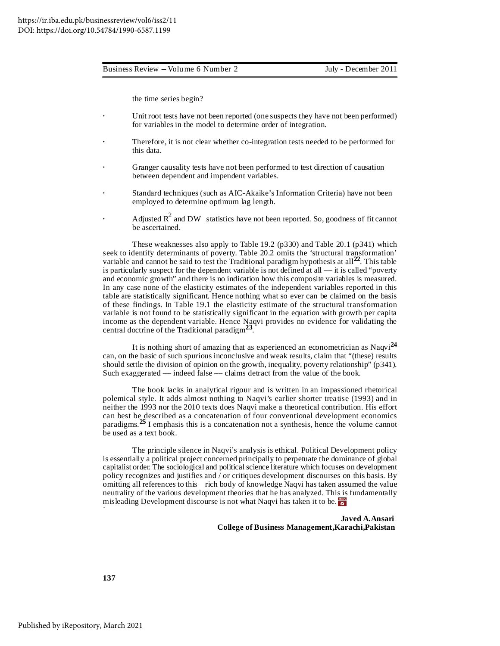the time series begin?

- Unit root tests have not been reported (one suspects they have not been performed) for variables in the model to determine order of integration.
- **·** Therefore, it is not clear whether co-integration tests needed to be performed for this data.
- **·** Granger causality tests have not been performed to test direction of causation between dependent and impendent variables.
- **·** Standard techniques (such as AIC-Akaike's Information Criteria) have not been employed to determine optimum lag length.
- **•** Adjusted  $R^2$  and DW statistics have not been reported. So, goodness of fit cannot be ascertained.

These weaknesses also apply to Table 19.2 (p330) and Table 20.1 (p341) which seek to identify determinants of poverty. Table 20.2 omits the 'structural transformation' variable and cannot be said to test the Traditional paradigm hypothesis at all<sup>22</sup>. This table is particularly suspect for the dependent variable is not defined at all –– it is called "poverty and economic growth" and there is no indication how this composite variables is measured. In any case none of the elasticity estimates of the independent variables reported in this table are statistically significant. Hence nothing what so ever can be claimed on the basis of these findings. In Table 19.1 the elasticity estimate of the structural transformation variable is not found to be statistically significant in the equation with growth per capita income as the dependent variable. Hence Naqvi provides no evidence for validating the central doctrine of the Traditional paradigm**<sup>23</sup>** .

It is nothing short of amazing that as experienced an econometrician as Naqvi **24** can, on the basic of such spurious inconclusive and weak results, claim that "(these) results should settle the division of opinion on the growth, inequality, poverty relationship" (p341). Such exaggerated –– indeed false –– claims detract from the value of the book.

The book lacks in analytical rigour and is written in an impassioned rhetorical polemical style. It adds almost nothing to Naqvi's earlier shorter treatise (1993) and in neither the 1993 nor the 2010 texts does Naqvi make a theoretical contribution. His effort can best be described as a concatenation of four conventional development economics paradigms. **<sup>25</sup>** I emphasis this is a concatenation not a synthesis, hence the volume cannot be used as a text book.

The principle silence in Naqvi's analysis is ethical. Political Development policy is essentially a political project concerned principally to perpetuate the dominance of global capitalist order. The sociological and politicalscience literature which focuses on development policy recognizes and justifies and / or critiques development discourses on this basis. By omitting all references to this rich body of knowledge Naqvi has taken assumed the value neutrality of the various development theories that he has analyzed. This is fundamentally misleading Development discourse is not what Naqvi has taken it to be. `

> **Javed A.Ansari College of Business Management,Karachi,Pakistan**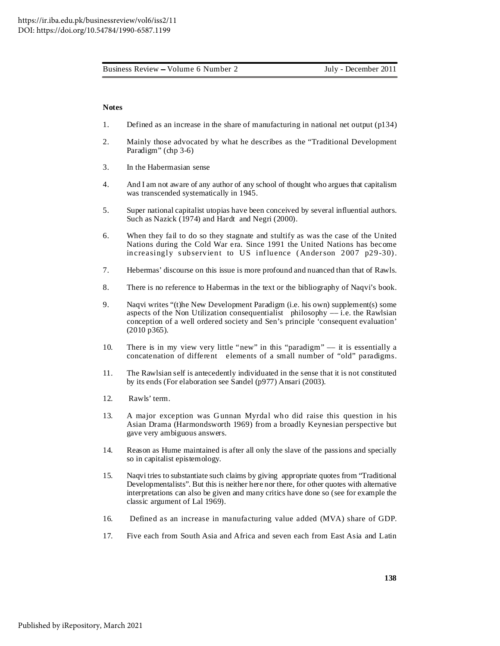#### **Notes**

- 1. Defined as an increase in the share of manufacturing in national net output (p134)
- 2. Mainly those advocated by what he describes as the "Traditional Development Paradigm" (chp 3-6)
- 3. In the Habermasian sense
- 4. And I am not aware of any author of any school of thought who argues that capitalism was transcended systematically in 1945.
- 5. Super national capitalist utopias have been conceived by several influential authors. Such as Nazick (1974) and Hardt and Negri (2000).
- 6. When they fail to do so they stagnate and stultify as was the case of the United Nations during the Cold War era. Since 1991 the United Nations has become increasingly subservient to US influence (Anderson 2007 p29-30).
- 7. Hebermas' discourse on this issue is more profound and nuanced than that of Rawls.
- 8. There is no reference to Habermas in the text or the bibliography of Naqvi's book.
- 9. Naqvi writes "(t)he New Development Paradigm (i.e. his own) supplement(s) some aspects of the Non Utilization consequentialist philosophy –– i.e. the Rawlsian conception of a well ordered society and Sen's principle 'consequent evaluation' (2010 p365).
- 10. There is in my view very little "new" in this "paradigm" –– it is essentially a concatenation of different elements of a small number of "old" paradigms.
- 11. The Rawlsian self is antecedently individuated in the sense that it is not constituted by its ends (For elaboration see Sandel (p977) Ansari (2003).
- 12. Rawls' term.
- 13. A major exception was Gunnan Myrdal who did raise this question in his Asian Drama (Harmondsworth 1969) from a broadly Keynesian perspective but gave very ambiguous answers.
- 14. Reason as Hume maintained is after all only the slave of the passions and specially so in capitalist epistemology.
- 15. Naqvi tries to substantiate such claims by giving appropriate quotes from "Traditional Developmentalists". But this is neither here nor there, for other quotes with alternative interpretations can also be given and many critics have done so (see for example the classic argument of Lal 1969).
- 16. Defined as an increase in manufacturing value added (MVA) share of GDP.
- 17. Five each from South Asia and Africa and seven each from East Asia and Latin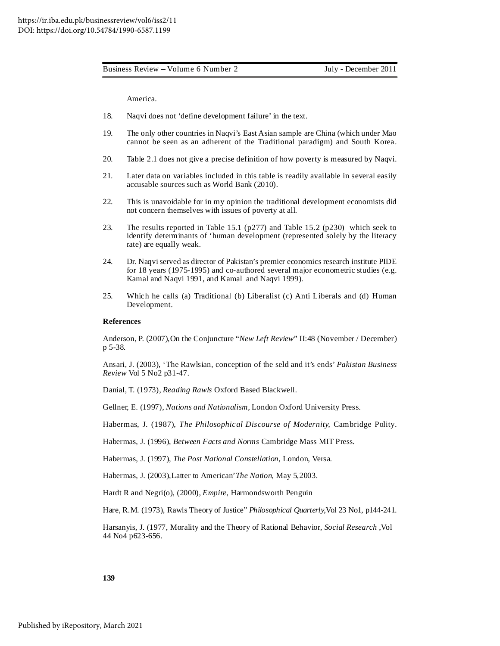America.

- 18. Naqvi does not 'define development failure' in the text.
- 19. The only other countries in Naqvi's East Asian sample are China (which under Mao cannot be seen as an adherent of the Traditional paradigm) and South Korea.
- 20. Table 2.1 does not give a precise definition of how poverty is measured by Naqvi.
- 21. Later data on variables included in this table is readily available in several easily accusable sources such as World Bank (2010).
- 22. This is unavoidable for in my opinion the traditional development economists did not concern themselves with issues of poverty at all.
- 23. The results reported in Table 15.1 (p277) and Table 15.2 (p230) which seek to identify determinants of 'human development (represented solely by the literacy rate) are equally weak.
- 24. Dr. Naqviserved as director of Pakistan's premier economics research institute PIDE for 18 years (1975-1995) and co-authored several major econometric studies (e.g. Kamal and Naqvi 1991, and Kamal and Naqvi 1999).
- 25. Which he calls (a) Traditional (b) Liberalist (c) Anti Liberals and (d) Human Development.

#### **References**

Anderson, P. (2007),On the Conjuncture "*New Left Review*" II:48 (November / December) p 5-38.

Ansari, J. (2003), 'The Rawlsian, conception of the seld and it's ends' *Pakistan Business Review* Vol 5 No2 p31-47.

Danial, T. (1973), *Reading Rawls* Oxford Based Blackwell.

Gellner, E. (1997), *Nations and Nationalism,* London Oxford University Press.

Habermas, J. (1987), *The Philosophical Discourse of Modernity,* Cambridge Polity.

Habermas, J. (1996), *Between Facts and Norms* Cambridge Mass MIT Press.

Habermas, J. (1997), *The Post National Constellation,* London, Versa.

Habermas, J. (2003),Latter to American'*The Nation*, May 5,2003.

Hardt R and Negri(o), (2000), *Empire*, Harmondsworth Penguin

Hare, R.M. (1973), Rawls Theory of Justice" *Philosophical Quarterly*,Vol 23 No1, p144-241.

Harsanyis, J. (1977, Morality and the Theory of Rational Behavior, *Social Research* ,Vol 44 No4 p623-656.